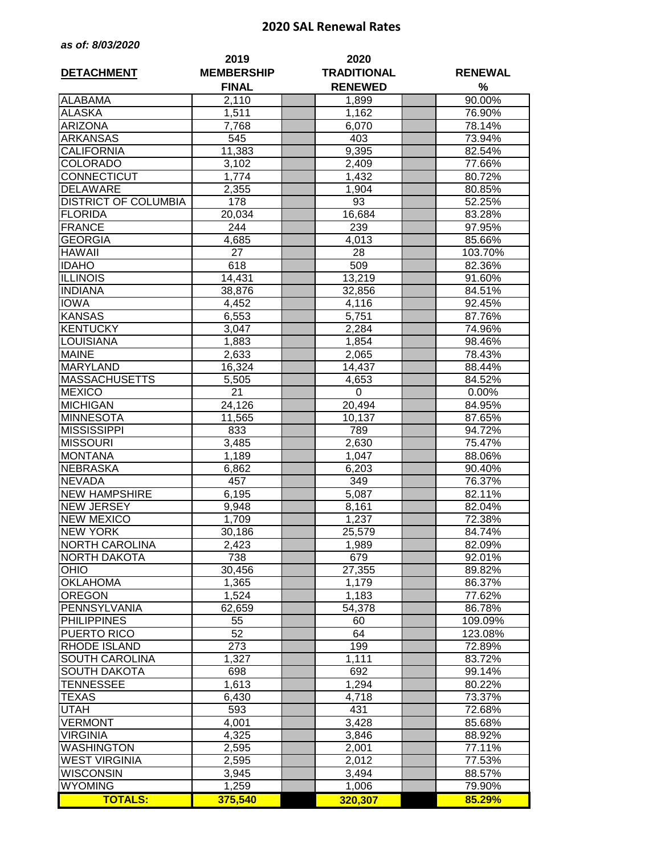## **2020 SAL Renewal Rates**

| as of: 8/03/2020 |  |  |  |  |  |
|------------------|--|--|--|--|--|
|------------------|--|--|--|--|--|

|                             | 2019              | 2020               |  |                |  |  |
|-----------------------------|-------------------|--------------------|--|----------------|--|--|
| <b>DETACHMENT</b>           | <b>MEMBERSHIP</b> | <b>TRADITIONAL</b> |  | <b>RENEWAL</b> |  |  |
|                             | <b>FINAL</b>      | <b>RENEWED</b>     |  | %              |  |  |
| <b>ALABAMA</b>              | 2,110             | 1,899              |  | 90.00%         |  |  |
| <b>ALASKA</b>               | 1,511             | 1,162              |  | 76.90%         |  |  |
| <b>ARIZONA</b>              | 7,768             | 6,070              |  | 78.14%         |  |  |
| <b>ARKANSAS</b>             | 545               | 403                |  | 73.94%         |  |  |
| <b>CALIFORNIA</b>           | 11,383            | 9,395              |  | 82.54%         |  |  |
| <b>COLORADO</b>             | 3,102             | 2,409              |  | 77.66%         |  |  |
| <b>CONNECTICUT</b>          | 1,774             | 1,432              |  | 80.72%         |  |  |
| <b>DELAWARE</b>             | 2,355             | 1,904              |  | 80.85%         |  |  |
| <b>DISTRICT OF COLUMBIA</b> | 178               | 93                 |  | 52.25%         |  |  |
| <b>FLORIDA</b>              | 20,034            | 16,684             |  | 83.28%         |  |  |
| <b>FRANCE</b>               | 244               | 239                |  | 97.95%         |  |  |
| <b>GEORGIA</b>              | 4,685             | 4,013              |  | 85.66%         |  |  |
| <b>HAWAII</b>               | 27                | 28                 |  | 103.70%        |  |  |
| <b>IDAHO</b>                | 618               | 509                |  | 82.36%         |  |  |
| <b>ILLINOIS</b>             | 14,431            | 13,219             |  | 91.60%         |  |  |
| <b>INDIANA</b>              | 38,876            | 32,856             |  | 84.51%         |  |  |
| <b>IOWA</b>                 | 4,452             | 4,116              |  | 92.45%         |  |  |
| <b>KANSAS</b>               | 6,553             | 5,751              |  | 87.76%         |  |  |
| <b>KENTUCKY</b>             | 3,047             | 2,284              |  | 74.96%         |  |  |
| <b>LOUISIANA</b>            | 1,883             | 1,854              |  | 98.46%         |  |  |
| <b>MAINE</b>                | 2,633             | 2,065              |  | 78.43%         |  |  |
| <b>MARYLAND</b>             | 16,324            | 14,437             |  | 88.44%         |  |  |
| <b>MASSACHUSETTS</b>        | 5,505             | 4,653              |  | 84.52%         |  |  |
| <b>MEXICO</b>               | 21                | $\Omega$           |  | 0.00%          |  |  |
| <b>MICHIGAN</b>             | 24,126            | 20,494             |  | 84.95%         |  |  |
| <b>MINNESOTA</b>            | 11,565            | 10,137             |  | 87.65%         |  |  |
| <b>MISSISSIPPI</b>          | 833               | 789                |  | 94.72%         |  |  |
| <b>MISSOURI</b>             | 3,485             | 2,630              |  | 75.47%         |  |  |
| <b>MONTANA</b>              | 1,189             | 1,047              |  | 88.06%         |  |  |
| <b>NEBRASKA</b>             | 6,862             | 6,203              |  | 90.40%         |  |  |
| <b>NEVADA</b>               | 457               | 349                |  | 76.37%         |  |  |
| <b>NEW HAMPSHIRE</b>        | 6,195             | 5,087              |  | 82.11%         |  |  |
| <b>NEW JERSEY</b>           | 9,948             | 8,161              |  | 82.04%         |  |  |
| <b>NEW MEXICO</b>           | 1,709             | 1,237              |  | 72.38%         |  |  |
| <b>NEW YORK</b>             | 30,186            | 25,579             |  | 84.74%         |  |  |
| <b>NORTH CAROLINA</b>       | 2,423             | 1,989              |  | 82.09%         |  |  |
| <b>NORTH DAKOTA</b>         | 738               | 679                |  | 92.01%         |  |  |
| <b>OHIO</b>                 | 30,456            | 27,355             |  | 89.82%         |  |  |
| <b>OKLAHOMA</b>             | 1,365             | 1,179              |  | 86.37%         |  |  |
| <b>OREGON</b>               | 1,524             | 1,183              |  | 77.62%         |  |  |
| PENNSYLVANIA                | 62,659            | 54,378             |  | 86.78%         |  |  |
| <b>PHILIPPINES</b>          | 55                | 60                 |  | 109.09%        |  |  |
| PUERTO RICO                 | 52                | 64                 |  | 123.08%        |  |  |
| <b>RHODE ISLAND</b>         | 273               | 199                |  | 72.89%         |  |  |
| <b>SOUTH CAROLINA</b>       | 1,327             | 1,111              |  | 83.72%         |  |  |
| <b>SOUTH DAKOTA</b>         | 698               | 692                |  | 99.14%         |  |  |
| <b>TENNESSEE</b>            | 1,613             | 1,294              |  | 80.22%         |  |  |
| <b>TEXAS</b>                | 6,430             | 4,718              |  | 73.37%         |  |  |
| <b>UTAH</b>                 | 593               | 431                |  |                |  |  |
|                             | 4,001             | 3,428              |  | 72.68%         |  |  |
| <b>VERMONT</b>              |                   |                    |  | 85.68%         |  |  |
| <b>VIRGINIA</b>             | 4,325             | 3,846              |  | 88.92%         |  |  |
| <b>WASHINGTON</b>           | 2,595             | 2,001              |  | 77.11%         |  |  |
| <b>WEST VIRGINIA</b>        | 2,595             | 2,012              |  | 77.53%         |  |  |
| <b>WISCONSIN</b>            | 3,945             | 3,494              |  | 88.57%         |  |  |
| <b>WYOMING</b>              | 1,259             | 1,006              |  | 79.90%         |  |  |
| <b>TOTALS:</b>              | 375,540           | 320,307            |  | 85.29%         |  |  |